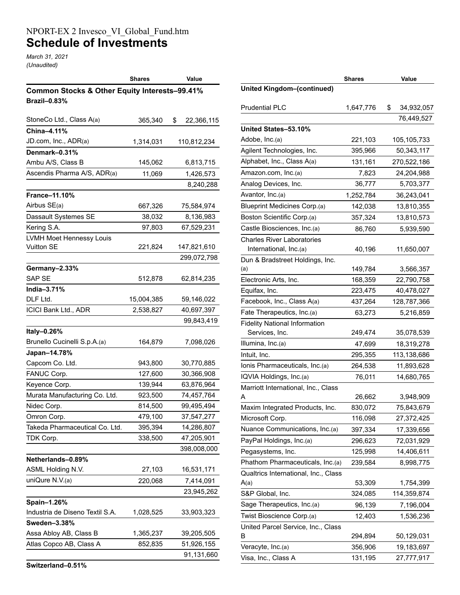## NPORT-EX 2 Invesco\_VI\_Global\_Fund.htm **Schedule of Investments**

*March 31, 2021 (Unaudited)*

|                                               | <b>Shares</b> | Value            |
|-----------------------------------------------|---------------|------------------|
| Common Stocks & Other Equity Interests-99.41% |               |                  |
| <b>Brazil-0.83%</b>                           |               |                  |
|                                               |               |                  |
| StoneCo Ltd., Class A(a)                      | 365,340       | \$<br>22,366,115 |
| China-4.11%                                   |               |                  |
| JD.com, Inc., ADR(a)                          | 1,314,031     | 110,812,234      |
| Denmark-0.31%                                 |               |                  |
| Ambu A/S, Class B                             | 145,062       | 6,813,715        |
| Ascendis Pharma A/S, ADR(a)                   | 11,069        | 1,426,573        |
|                                               |               | 8,240,288        |
| <b>France-11.10%</b>                          |               |                  |
| Airbus SE(a)                                  | 667,326       | 75,584,974       |
| Dassault Systemes SE                          | 38,032        | 8,136,983        |
| Kering S.A.                                   | 97,803        | 67,529,231       |
| LVMH Moet Hennessy Louis                      |               |                  |
| <b>Vuitton SE</b>                             | 221,824       | 147,821,610      |
|                                               |               | 299,072,798      |
| Germany-2.33%                                 |               |                  |
| <b>SAP SE</b>                                 | 512,878       | 62,814,235       |
| India-3.71%                                   |               |                  |
| DLF Ltd.                                      | 15,004,385    | 59,146,022       |
| ICICI Bank Ltd., ADR                          | 2,538,827     | 40,697,397       |
|                                               |               | 99,843,419       |
| Italy-0.26%                                   |               |                  |
| Brunello Cucinelli S.p.A.(a)                  | 164,879       | 7,098,026        |
| Japan-14.78%                                  |               |                  |
| Capcom Co. Ltd.                               | 943,800       | 30,770,885       |
| FANUC Corp.                                   | 127,600       | 30,366,908       |
| Keyence Corp.                                 | 139,944       | 63,876,964       |
| Murata Manufacturing Co. Ltd.                 | 923,500       | 74,457,764       |
| Nidec Corp.                                   | 814,500       | 99,495,494       |
| Omron Corp.                                   | 479,100       | 37,547,277       |
| Takeda Pharmaceutical Co. Ltd.                | 395,394       | 14,286,807       |
| TDK Corp.                                     | 338,500       | 47,205,901       |
|                                               |               | 398,008,000      |
| Netherlands-0.89%                             |               |                  |
| ASML Holding N.V.                             | 27,103        | 16,531,171       |
| uniQure N.V.(a)                               | 220,068       | 7,414,091        |
|                                               |               | 23,945,262       |
| Spain-1.26%                                   |               |                  |
| Industria de Diseno Textil S.A.               | 1,028,525     | 33,903,323       |
| Sweden-3.38%                                  |               |                  |
| Assa Abloy AB, Class B                        | 1,365,237     | 39,205,505       |
| Atlas Copco AB, Class A                       | 852,835       | 51,926,155       |
|                                               |               | 91,131,660       |

|                                              | <b>Shares</b> | Value            |
|----------------------------------------------|---------------|------------------|
| <b>United Kingdom-(continued)</b>            |               |                  |
| <b>Prudential PLC</b>                        | 1,647,776     | \$<br>34,932,057 |
|                                              |               | 76,449,527       |
| United States-53.10%                         |               |                  |
| Adobe, Inc.(a)                               | 221,103       | 105,105,733      |
| Agilent Technologies, Inc.                   | 395,966       | 50,343,117       |
| Alphabet, Inc., Class A(a)                   | 131,161       | 270,522,186      |
| Amazon.com, Inc.(a)                          | 7,823         | 24,204,988       |
| Analog Devices, Inc.                         | 36,777        | 5,703,377        |
| Avantor, Inc.(a)                             | 1,252,784     | 36,243,041       |
| <b>Blueprint Medicines Corp.(a)</b>          | 142,038       | 13,810,355       |
| Boston Scientific Corp.(a)                   | 357,324       | 13,810,573       |
| Castle Biosciences, Inc.(a)                  | 86,760        | 5,939,590        |
| <b>Charles River Laboratories</b>            |               |                  |
| International, Inc.(a)                       | 40,196        | 11,650,007       |
| Dun & Bradstreet Holdings, Inc.              |               |                  |
| (a)                                          | 149,784       | 3,566,357        |
| Electronic Arts, Inc.                        | 168,359       | 22,790,758       |
| Equifax, Inc.                                | 223,475       | 40,478,027       |
| Facebook, Inc., Class A(a)                   | 437,264       | 128,787,366      |
| Fate Therapeutics, Inc.(a)                   | 63,273        | 5,216,859        |
| <b>Fidelity National Information</b>         |               |                  |
| Services, Inc.                               | 249,474       | 35,078,539       |
| Illumina, Inc.(a)                            | 47,699        | 18,319,278       |
| Intuit, Inc.                                 | 295,355       | 113,138,686      |
| Ionis Pharmaceuticals, Inc.(a)               | 264,538       | 11,893,628       |
| IQVIA Holdings, Inc.(a)                      | 76,011        | 14,680,765       |
| Marriott International, Inc., Class          |               |                  |
| A                                            | 26,662        | 3,948,909        |
| Maxim Integrated Products, Inc.              | 830,072       | 75,843,679       |
| Microsoft Corp.                              | 116,098       | 27,372,425       |
| Nuance Communications, Inc.(a)               | 397,334       | 17,339,656       |
| PayPal Holdings, Inc.(a)                     | 296,623       | 72,031,929       |
| Pegasystems, Inc.                            | 125,998       | 14,406,611       |
| Phathom Pharmaceuticals, Inc.(a)             | 239,584       | 8,998,775        |
| Qualtrics International, Inc., Class<br>A(a) | 53,309        | 1,754,399        |
| S&P Global, Inc.                             | 324,085       | 114,359,874      |
| Sage Therapeutics, Inc.(a)                   | 96,139        | 7,196,004        |
| Twist Bioscience Corp.(a)                    |               |                  |
| United Parcel Service, Inc., Class           | 12,403        | 1,536,236        |
| B                                            | 294,894       | 50,129,031       |
| Veracyte, Inc.(a)                            | 356,906       | 19,183,697       |
| Visa, Inc., Class A                          | 131,195       | 27,777,917       |
|                                              |               |                  |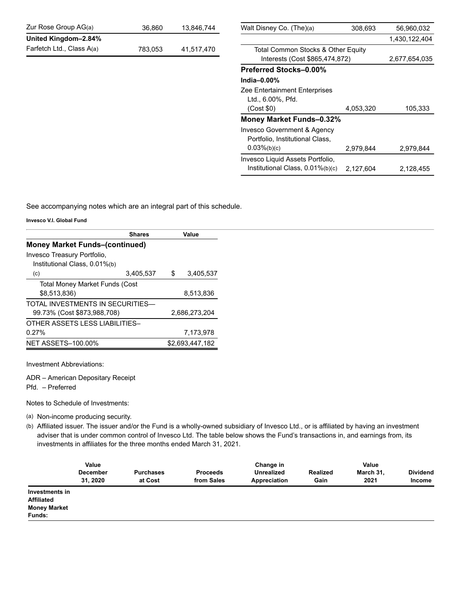| Zur Rose Group AG(a)      | 36,860  | 13,846,744 | Walt Disney Co. (The)(a)             | 308.693   | 56,960,032    |
|---------------------------|---------|------------|--------------------------------------|-----------|---------------|
| United Kingdom-2.84%      |         |            |                                      |           | 1,430,122,404 |
| Farfetch Ltd., Class A(a) | 783,053 | 41,517,470 | Total Common Stocks & Other Equity   |           |               |
|                           |         |            | Interests (Cost \$865,474,872)       |           | 2,677,654,035 |
|                           |         |            | <b>Preferred Stocks-0.00%</b>        |           |               |
|                           |         |            | India $-0.00\%$                      |           |               |
|                           |         |            | <b>Zee Entertainment Enterprises</b> |           |               |
|                           |         |            | Ltd., 6.00%, Pfd.                    |           |               |
|                           |         |            | (Cost \$0)                           | 4,053,320 | 105,333       |
|                           |         |            | Money Market Funds-0.32%             |           |               |
|                           |         |            | Invesco Government & Agency          |           |               |
|                           |         |            | Portfolio, Institutional Class,      |           |               |
|                           |         |            | $0.03\%(b)(c)$                       | 2,979,844 | 2,979,844     |
|                           |         |            | Invesco Liquid Assets Portfolio,     |           |               |
|                           |         |            | Institutional Class, 0.01%(b)(c)     | 2,127,604 | 2,128,455     |
|                           |         |            |                                      |           |               |

See accompanying notes which are an integral part of this schedule.

**Invesco V.I. Global Fund**

| <b>Shares</b>                         |    | Value           |
|---------------------------------------|----|-----------------|
| <b>Money Market Funds-(continued)</b> |    |                 |
| Invesco Treasury Portfolio,           |    |                 |
| Institutional Class, 0.01%(b)         |    |                 |
| 3,405,537<br>(c)                      | \$ | 3,405,537       |
| <b>Total Money Market Funds (Cost</b> |    |                 |
| \$8,513,836)                          |    | 8,513,836       |
| TOTAL INVESTMENTS IN SECURITIES—      |    |                 |
| 99.73% (Cost \$873,988,708)           |    | 2,686,273,204   |
| OTHER ASSETS LESS LIABILITIES-        |    |                 |
| 0.27%                                 |    | 7,173,978       |
| <b>NET ASSETS-100.00%</b>             |    | \$2,693,447,182 |

Investment Abbreviations:

ADR – American Depositary Receipt

Pfd. – Preferred

Notes to Schedule of Investments:

(a) Non-income producing security.

(b) Affiliated issuer. The issuer and/or the Fund is a wholly-owned subsidiary of Invesco Ltd., or is affiliated by having an investment adviser that is under common control of Invesco Ltd. The table below shows the Fund's transactions in, and earnings from, its investments in affiliates for the three months ended March 31, 2021.

|                                                                      | Value<br><b>December</b><br>31, 2020 | <b>Purchases</b><br>at Cost | <b>Proceeds</b><br>from Sales | Change in<br><b>Unrealized</b><br>Appreciation | Realized<br>Gain | Value<br>March 31,<br>2021 | <b>Dividend</b><br><b>Income</b> |
|----------------------------------------------------------------------|--------------------------------------|-----------------------------|-------------------------------|------------------------------------------------|------------------|----------------------------|----------------------------------|
| Investments in<br><b>Affiliated</b><br><b>Money Market</b><br>Funds: |                                      |                             |                               |                                                |                  |                            |                                  |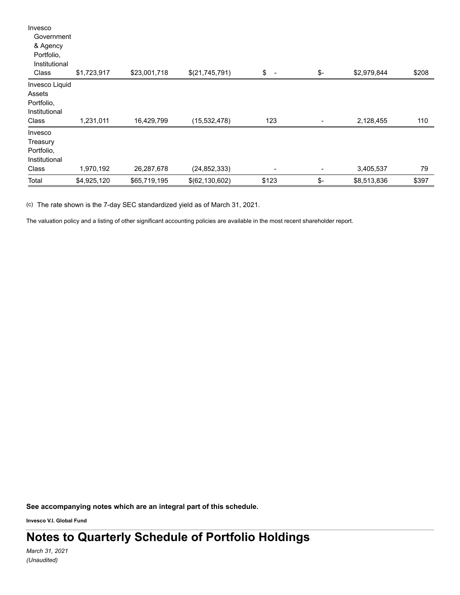| Invesco<br>Government<br>& Agency                                |             |              |                  |                                |                |             |       |
|------------------------------------------------------------------|-------------|--------------|------------------|--------------------------------|----------------|-------------|-------|
| Portfolio,<br>Institutional                                      |             |              |                  |                                |                |             |       |
| Class                                                            | \$1,723,917 | \$23,001,718 | \$(21,745,791)   | \$<br>$\overline{\phantom{a}}$ | \$-            | \$2,979,844 | \$208 |
| Invesco Liquid<br>Assets<br>Portfolio,<br>Institutional<br>Class | 1,231,011   | 16,429,799   | (15, 532, 478)   | 123                            | $\overline{a}$ | 2,128,455   | 110   |
| Invesco<br>Treasury<br>Portfolio,<br>Institutional<br>Class      | 1,970,192   | 26,287,678   | (24, 852, 333)   | -                              |                | 3,405,537   | 79    |
| Total                                                            | \$4,925,120 | \$65,719,195 | \$(62, 130, 602) | \$123                          | \$-            | \$8,513,836 | \$397 |

(c) The rate shown is the 7-day SEC standardized yield as of March 31, 2021.

The valuation policy and a listing of other significant accounting policies are available in the most recent shareholder report.

**See accompanying notes which are an integral part of this schedule.**

**Invesco V.I. Global Fund**

**Notes to Quarterly Schedule of Portfolio Holdings**

*March 31, 2021 (Unaudited)*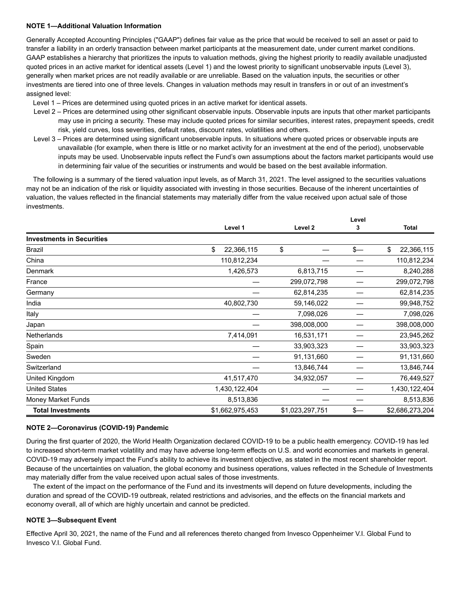## **NOTE 1—Additional Valuation Information**

Generally Accepted Accounting Principles ("GAAP") defines fair value as the price that would be received to sell an asset or paid to transfer a liability in an orderly transaction between market participants at the measurement date, under current market conditions. GAAP establishes a hierarchy that prioritizes the inputs to valuation methods, giving the highest priority to readily available unadjusted quoted prices in an active market for identical assets (Level 1) and the lowest priority to significant unobservable inputs (Level 3), generally when market prices are not readily available or are unreliable. Based on the valuation inputs, the securities or other investments are tiered into one of three levels. Changes in valuation methods may result in transfers in or out of an investment's assigned level:

Level 1 – Prices are determined using quoted prices in an active market for identical assets.

- Level 2 Prices are determined using other significant observable inputs. Observable inputs are inputs that other market participants may use in pricing a security. These may include quoted prices for similar securities, interest rates, prepayment speeds, credit risk, yield curves, loss severities, default rates, discount rates, volatilities and others.
- Level 3 Prices are determined using significant unobservable inputs. In situations where quoted prices or observable inputs are unavailable (for example, when there is little or no market activity for an investment at the end of the period), unobservable inputs may be used. Unobservable inputs reflect the Fund's own assumptions about the factors market participants would use in determining fair value of the securities or instruments and would be based on the best available information.

The following is a summary of the tiered valuation input levels, as of March 31, 2021. The level assigned to the securities valuations may not be an indication of the risk or liquidity associated with investing in those securities. Because of the inherent uncertainties of valuation, the values reflected in the financial statements may materially differ from the value received upon actual sale of those investments.

**Level**

|                                  | Level 1          | Level 2         |             | 3             | <b>Total</b>     |  |
|----------------------------------|------------------|-----------------|-------------|---------------|------------------|--|
| <b>Investments in Securities</b> |                  |                 |             |               |                  |  |
| Brazil                           | \$<br>22,366,115 | \$              |             | $\frac{2}{3}$ | \$<br>22,366,115 |  |
| China                            | 110,812,234      |                 |             |               | 110,812,234      |  |
| Denmark                          | 1,426,573        |                 | 6,813,715   |               | 8,240,288        |  |
| France                           |                  |                 | 299,072,798 |               | 299,072,798      |  |
| Germany                          |                  |                 | 62,814,235  |               | 62,814,235       |  |
| India                            | 40,802,730       |                 | 59,146,022  |               | 99,948,752       |  |
| Italy                            |                  |                 | 7,098,026   |               | 7,098,026        |  |
| Japan                            |                  |                 | 398,008,000 |               | 398,008,000      |  |
| <b>Netherlands</b>               | 7,414,091        |                 | 16,531,171  |               | 23,945,262       |  |
| Spain                            |                  |                 | 33,903,323  |               | 33,903,323       |  |
| Sweden                           |                  |                 | 91,131,660  |               | 91,131,660       |  |
| Switzerland                      |                  |                 | 13,846,744  |               | 13,846,744       |  |
| United Kingdom                   | 41,517,470       |                 | 34,932,057  |               | 76,449,527       |  |
| <b>United States</b>             | 1,430,122,404    |                 |             |               | 1,430,122,404    |  |
| Money Market Funds               | 8,513,836        |                 |             |               | 8,513,836        |  |
| <b>Total Investments</b>         | \$1,662,975,453  | \$1,023,297,751 |             | \$—           | \$2,686,273,204  |  |

## **NOTE 2—Coronavirus (COVID-19) Pandemic**

During the first quarter of 2020, the World Health Organization declared COVID-19 to be a public health emergency. COVID-19 has led to increased short-term market volatility and may have adverse long-term effects on U.S. and world economies and markets in general. COVID-19 may adversely impact the Fund's ability to achieve its investment objective, as stated in the most recent shareholder report. Because of the uncertainties on valuation, the global economy and business operations, values reflected in the Schedule of Investments may materially differ from the value received upon actual sales of those investments.

The extent of the impact on the performance of the Fund and its investments will depend on future developments, including the duration and spread of the COVID-19 outbreak, related restrictions and advisories, and the effects on the financial markets and economy overall, all of which are highly uncertain and cannot be predicted.

## **NOTE 3—Subsequent Event**

Effective April 30, 2021, the name of the Fund and all references thereto changed from Invesco Oppenheimer V.I. Global Fund to Invesco V.I. Global Fund.